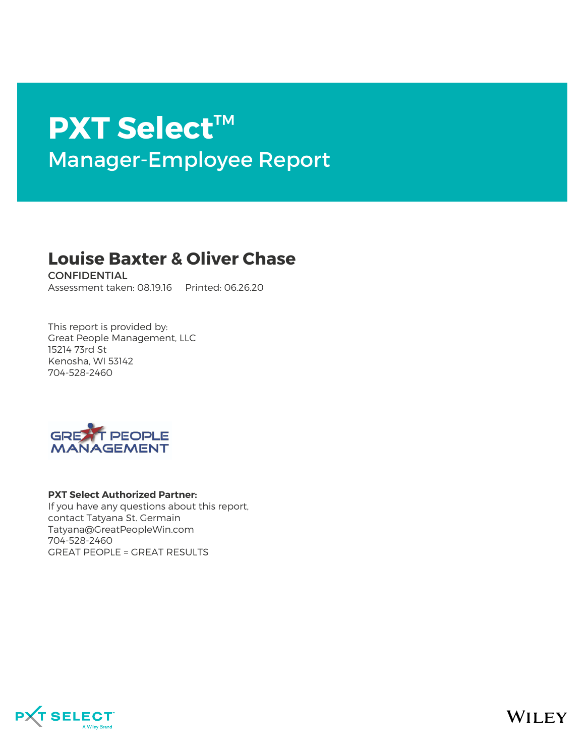# **PXT Select**™ Manager-Employee Report

# **Louise Baxter & Oliver Chase**

**CONFIDENTIAL** Assessment taken: 08.19.16 Printed: 06.26.20

This report is provided by: Great People Management, LLC 15214 73rd St Kenosha, WI 53142 704-528-2460



#### **PXT Select Authorized Partner:**

If you have any questions about this report, contact Tatyana St. Germain Tatyana@GreatPeopleWin.com 704-528-2460 GREAT PEOPLE = GREAT RESULTS



**WILEY**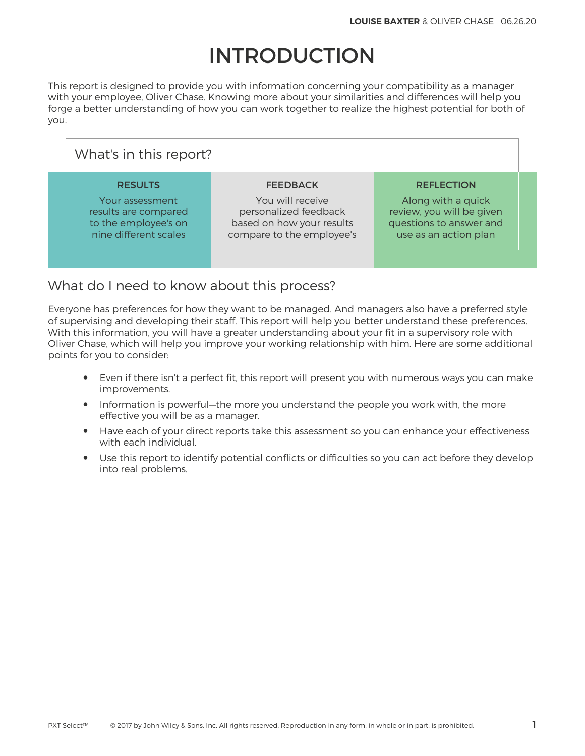# INTRODUCTION

This report is designed to provide you with information concerning your compatibility as a manager with your employee, Oliver Chase. Knowing more about your similarities and differences will help you forge a better understanding of how you can work together to realize the highest potential for both of you.

| What's in this report?                                                                                     |                                                                                                                        |                                                                                                                          |  |  |  |
|------------------------------------------------------------------------------------------------------------|------------------------------------------------------------------------------------------------------------------------|--------------------------------------------------------------------------------------------------------------------------|--|--|--|
| <b>RESULTS</b><br>Your assessment<br>results are compared<br>to the employee's on<br>nine different scales | <b>FEEDBACK</b><br>You will receive<br>personalized feedback<br>based on how your results<br>compare to the employee's | <b>REFLECTION</b><br>Along with a quick<br>review, you will be given<br>questions to answer and<br>use as an action plan |  |  |  |
|                                                                                                            |                                                                                                                        |                                                                                                                          |  |  |  |

# What do I need to know about this process?

Everyone has preferences for how they want to be managed. And managers also have a preferred style of supervising and developing their staff. This report will help you better understand these preferences. With this information, you will have a greater understanding about your fit in a supervisory role with Oliver Chase, which will help you improve your working relationship with him. Here are some additional points for you to consider:

- Even if there isn't a perfect fit, this report will present you with numerous ways you can make improvements.
- Information is powerful—the more you understand the people you work with, the more effective you will be as a manager.
- Have each of your direct reports take this assessment so you can enhance your effectiveness with each individual.
- Use this report to identify potential conflicts or difficulties so you can act before they develop into real problems.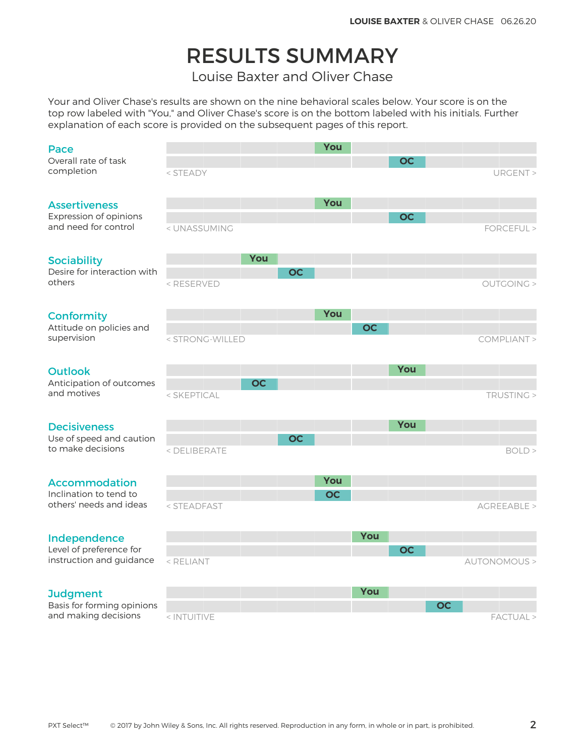# RESULTS SUMMARY

Louise Baxter and Oliver Chase

Your and Oliver Chase's results are shown on the nine behavioral scales below. Your score is on the top row labeled with "You," and Oliver Chase's score is on the bottom labeled with his initials. Further explanation of each score is provided on the subsequent pages of this report.

#### Pace

#### **Assertiveness**

### **Conformity**

### Outlook

### **Decisiveness**

### Accommodation

### Independence

### **Judgment**

Basis for forming opinions and making decisions and making decisions and making decisions and making decisions and making decisions and  $\epsilon$  intuitive

| Pace                                                                   |                                                                                                                           |     |           | You       |           |           |           |                      |
|------------------------------------------------------------------------|---------------------------------------------------------------------------------------------------------------------------|-----|-----------|-----------|-----------|-----------|-----------|----------------------|
| Overall rate of task<br>completion                                     | < STEADY                                                                                                                  |     |           |           |           | <b>OC</b> |           | URGENT >             |
| <b>Assertiveness</b><br>Expression of opinions<br>and need for control |                                                                                                                           |     |           | You       |           | <b>OC</b> |           |                      |
| <b>Sociability</b>                                                     | < UNASSUMING                                                                                                              | You |           |           |           |           |           | FORCEFUL >           |
| Desire for interaction with<br>others                                  | <reserved< td=""><td></td><td><b>OC</b></td><td></td><td></td><td></td><td></td><td><b>OUTGOING &gt;</b></td></reserved<> |     | <b>OC</b> |           |           |           |           | <b>OUTGOING &gt;</b> |
| Conformity<br>Attitude on policies and                                 |                                                                                                                           |     |           | You       | <b>OC</b> |           |           |                      |
| supervision                                                            | < STRONG-WILLED                                                                                                           |     |           |           |           |           |           | COMPLIANT >          |
| <b>Outlook</b><br>Anticipation of outcomes                             |                                                                                                                           | OC  |           |           |           | You       |           |                      |
| and motives                                                            | < SKEPTICAL                                                                                                               |     |           |           |           |           |           | TRUSTING >           |
| <b>Decisiveness</b><br>Use of speed and caution                        |                                                                                                                           |     | <b>OC</b> |           |           | You       |           |                      |
| to make decisions                                                      | < DELIBERATE                                                                                                              |     |           |           |           |           |           | BOLD >               |
| <b>Accommodation</b>                                                   |                                                                                                                           |     |           | You       |           |           |           |                      |
| Inclination to tend to<br>others' needs and ideas                      | < STEADFAST                                                                                                               |     |           | <b>OC</b> |           |           |           | AGREEABLE >          |
| Independence                                                           |                                                                                                                           |     |           |           | You       |           |           |                      |
| Level of preference for<br>instruction and guidance                    | < RELIANT                                                                                                                 |     |           |           |           | <b>OC</b> |           | AUTONOMOUS >         |
| <b>Judgment</b>                                                        |                                                                                                                           |     |           |           | You       |           |           |                      |
| Basis for forming opinions                                             |                                                                                                                           |     |           |           |           |           | <b>OC</b> |                      |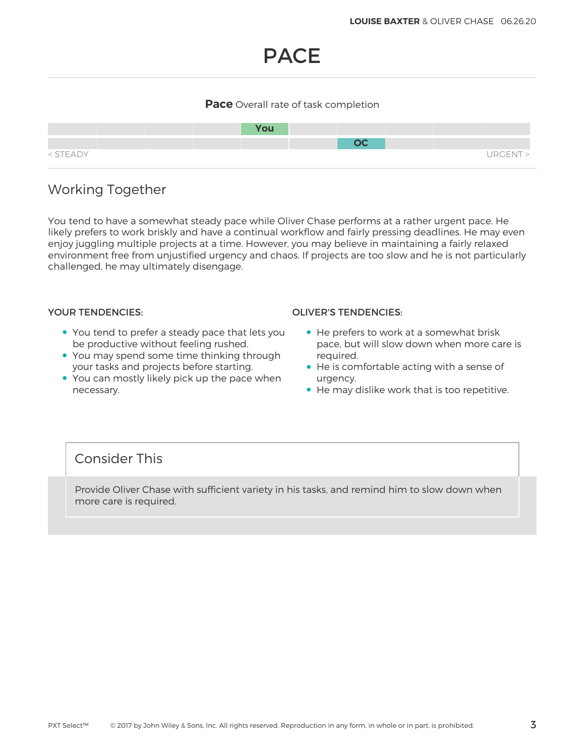# PACE

### **Pace** Overall rate of task completion



# Working Together

You tend to have a somewhat steady pace while Oliver Chase performs at a rather urgent pace. He likely prefers to work briskly and have a continual workflow and fairly pressing deadlines. He may even enjoy juggling multiple projects at a time. However, you may believe in maintaining a fairly relaxed environment free from unjustified urgency and chaos. If projects are too slow and he is not particularly challenged, he may ultimately disengage.

- You tend to prefer a steady pace that lets you be productive without feeling rushed.
- You may spend some time thinking through your tasks and projects before starting.
- You can mostly likely pick up the pace when necessary.

### YOUR TENDENCIES: OLIVER'S TENDENCIES:

- He prefers to work at a somewhat brisk pace, but will slow down when more care is required.
- He is comfortable acting with a sense of urgency.
- He may dislike work that is too repetitive.

## Consider This

Provide Oliver Chase with sufficient variety in his tasks, and remind him to slow down when more care is required.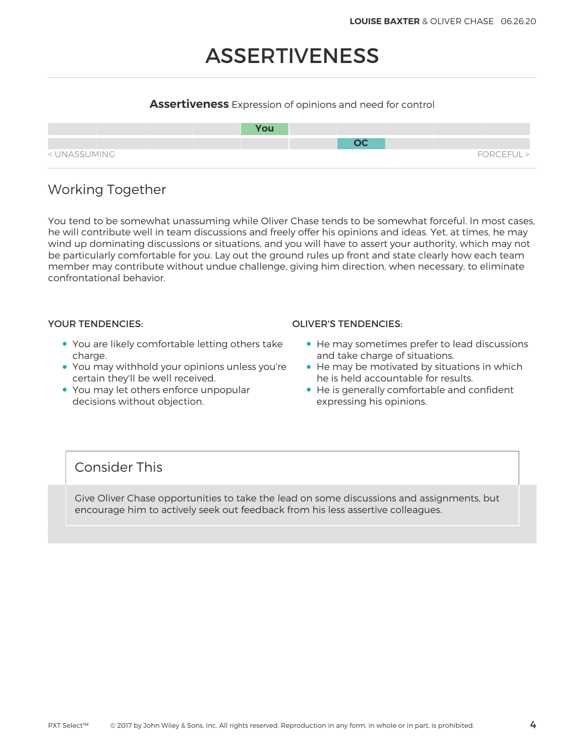# ASSERTIVENESS

### **Assertiveness** Expression of opinions and need for control



# Working Together

You tend to be somewhat unassuming while Oliver Chase tends to be somewhat forceful. In most cases, he will contribute well in team discussions and freely offer his opinions and ideas. Yet, at times, he may wind up dominating discussions or situations, and you will have to assert your authority, which may not be particularly comfortable for you. Lay out the ground rules up front and state clearly how each team member may contribute without undue challenge, giving him direction, when necessary, to eliminate confrontational behavior.

- You are likely comfortable letting others take charge.
- You may withhold your opinions unless you're certain they'll be well received.
- You may let others enforce unpopular decisions without objection.

### YOUR TENDENCIES: OLIVER'S TENDENCIES:

- He may sometimes prefer to lead discussions and take charge of situations.
- He may be motivated by situations in which he is held accountable for results.
- He is generally comfortable and confident expressing his opinions.

## Consider This

Give Oliver Chase opportunities to take the lead on some discussions and assignments, but encourage him to actively seek out feedback from his less assertive colleagues.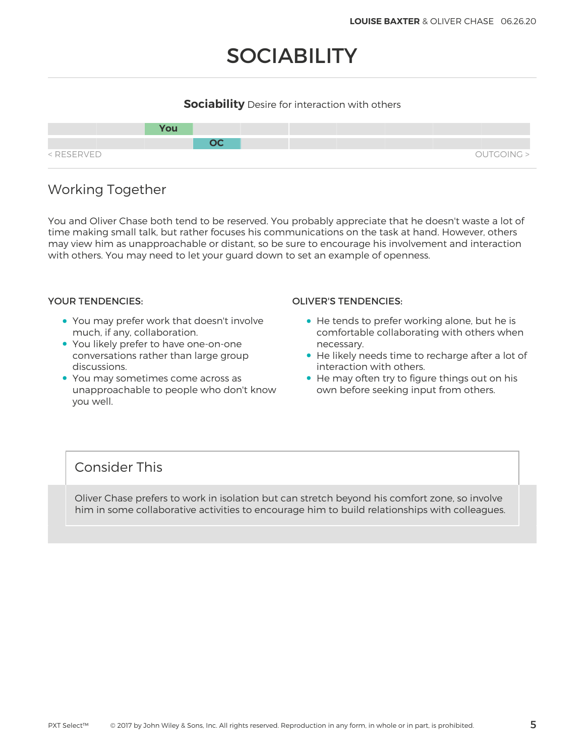# **SOCIABILITY**

## **Sociability** Desire for interaction with others



# Working Together

You and Oliver Chase both tend to be reserved. You probably appreciate that he doesn't waste a lot of time making small talk, but rather focuses his communications on the task at hand. However, others may view him as unapproachable or distant, so be sure to encourage his involvement and interaction with others. You may need to let your guard down to set an example of openness.

- You may prefer work that doesn't involve much, if any, collaboration.
- You likely prefer to have one-on-one conversations rather than large group discussions.
- You may sometimes come across as unapproachable to people who don't know you well.

### YOUR TENDENCIES: OLIVER'S TENDENCIES:

- He tends to prefer working alone, but he is comfortable collaborating with others when necessary.
- He likely needs time to recharge after a lot of interaction with others.
- He may often try to figure things out on his own before seeking input from others.

## Consider This

Oliver Chase prefers to work in isolation but can stretch beyond his comfort zone, so involve him in some collaborative activities to encourage him to build relationships with colleagues.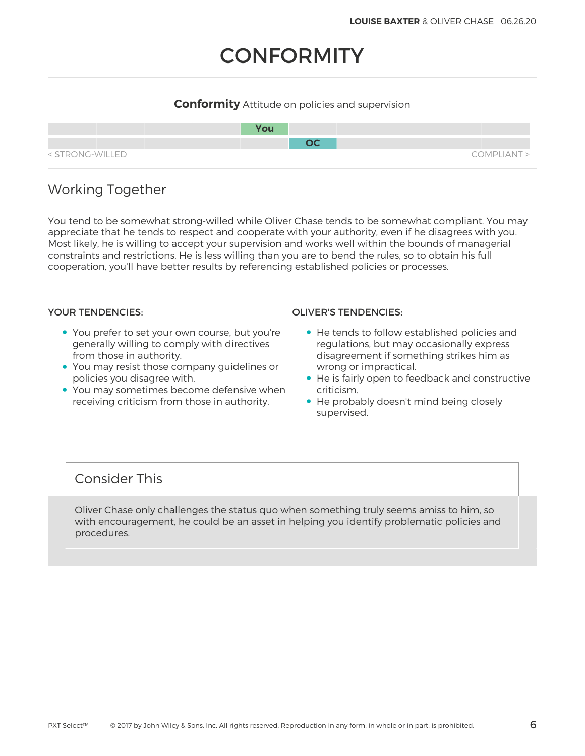# **CONFORMITY**

## **Conformity** Attitude on policies and supervision



# Working Together

You tend to be somewhat strong-willed while Oliver Chase tends to be somewhat compliant. You may appreciate that he tends to respect and cooperate with your authority, even if he disagrees with you. Most likely, he is willing to accept your supervision and works well within the bounds of managerial constraints and restrictions. He is less willing than you are to bend the rules, so to obtain his full cooperation, you'll have better results by referencing established policies or processes.

- You prefer to set your own course, but you're generally willing to comply with directives from those in authority.
- You may resist those company guidelines or policies you disagree with.
- You may sometimes become defensive when receiving criticism from those in authority.

### YOUR TENDENCIES: OLIVER'S TENDENCIES:

- He tends to follow established policies and regulations, but may occasionally express disagreement if something strikes him as wrong or impractical.
- He is fairly open to feedback and constructive criticism.
- He probably doesn't mind being closely supervised.

# Consider This

Oliver Chase only challenges the status quo when something truly seems amiss to him, so with encouragement, he could be an asset in helping you identify problematic policies and procedures.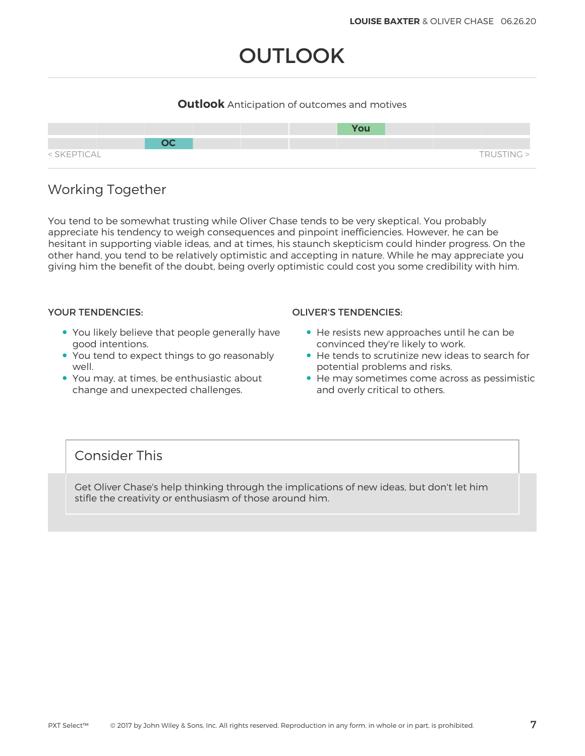# **OUTLOOK**

## **Outlook** Anticipation of outcomes and motives



# Working Together

You tend to be somewhat trusting while Oliver Chase tends to be very skeptical. You probably appreciate his tendency to weigh consequences and pinpoint inefficiencies. However, he can be hesitant in supporting viable ideas, and at times, his staunch skepticism could hinder progress. On the other hand, you tend to be relatively optimistic and accepting in nature. While he may appreciate you giving him the benefit of the doubt, being overly optimistic could cost you some credibility with him.

- You likely believe that people generally have good intentions.
- You tend to expect things to go reasonably well.
- You may, at times, be enthusiastic about change and unexpected challenges.

### YOUR TENDENCIES: OLIVER'S TENDENCIES:

- He resists new approaches until he can be convinced they're likely to work.
- He tends to scrutinize new ideas to search for potential problems and risks.
- He may sometimes come across as pessimistic and overly critical to others.

# Consider This

Get Oliver Chase's help thinking through the implications of new ideas, but don't let him stifle the creativity or enthusiasm of those around him.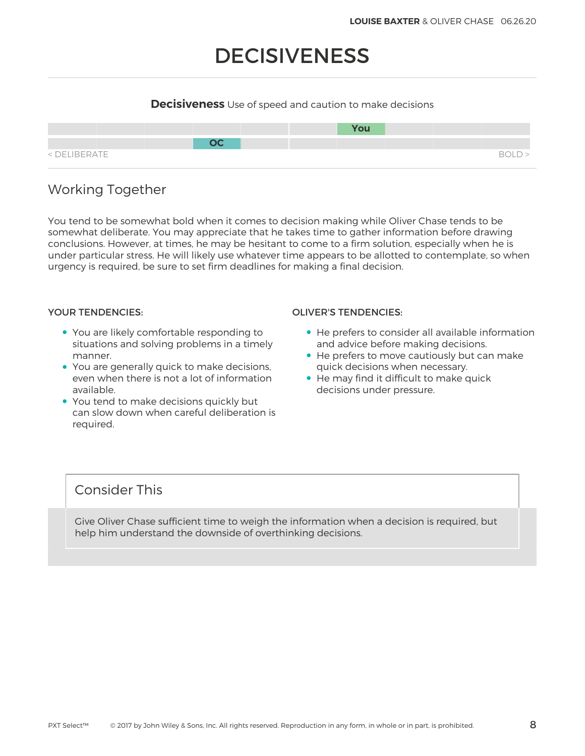# DECISIVENESS

## **Decisiveness** Use of speed and caution to make decisions



# Working Together

You tend to be somewhat bold when it comes to decision making while Oliver Chase tends to be somewhat deliberate. You may appreciate that he takes time to gather information before drawing conclusions. However, at times, he may be hesitant to come to a firm solution, especially when he is under particular stress. He will likely use whatever time appears to be allotted to contemplate, so when urgency is required, be sure to set firm deadlines for making a final decision.

- You are likely comfortable responding to situations and solving problems in a timely manner.
- You are generally quick to make decisions, even when there is not a lot of information available.
- You tend to make decisions quickly but can slow down when careful deliberation is required.

### YOUR TENDENCIES: OLIVER'S TENDENCIES:

- He prefers to consider all available information and advice before making decisions.
- He prefers to move cautiously but can make quick decisions when necessary.
- He may find it difficult to make quick decisions under pressure.

# Consider This

Give Oliver Chase sufficient time to weigh the information when a decision is required, but help him understand the downside of overthinking decisions.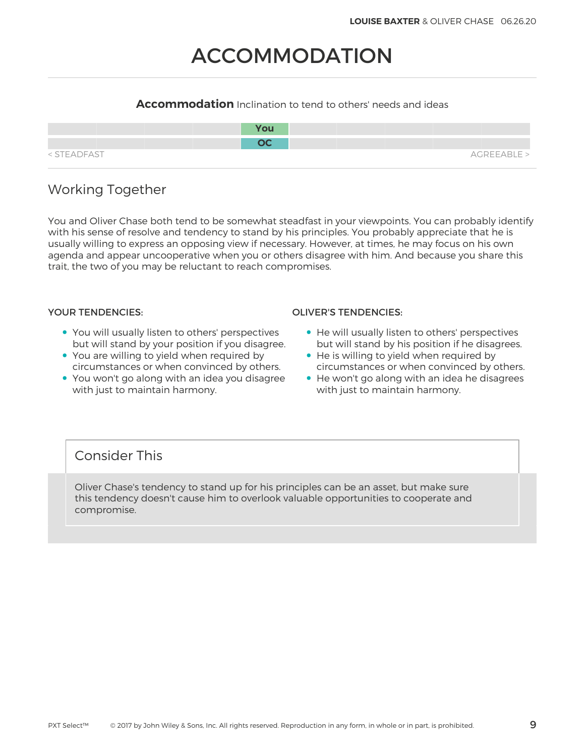# ACCOMMODATION

## **Accommodation** Inclination to tend to others' needs and ideas

|             | <b>You</b> |             |
|-------------|------------|-------------|
|             | nr.        |             |
| < STEADFAST |            | AGREEABLE > |

# Working Together

You and Oliver Chase both tend to be somewhat steadfast in your viewpoints. You can probably identify with his sense of resolve and tendency to stand by his principles. You probably appreciate that he is usually willing to express an opposing view if necessary. However, at times, he may focus on his own agenda and appear uncooperative when you or others disagree with him. And because you share this trait, the two of you may be reluctant to reach compromises.

- You will usually listen to others' perspectives but will stand by your position if you disagree.
- You are willing to yield when required by circumstances or when convinced by others.
- You won't go along with an idea you disagree with just to maintain harmony.

### YOUR TENDENCIES: OLIVER'S TENDENCIES:

- He will usually listen to others' perspectives but will stand by his position if he disagrees.
- He is willing to yield when required by circumstances or when convinced by others.
- He won't go along with an idea he disagrees with just to maintain harmony.

# Consider This

Oliver Chase's tendency to stand up for his principles can be an asset, but make sure this tendency doesn't cause him to overlook valuable opportunities to cooperate and compromise.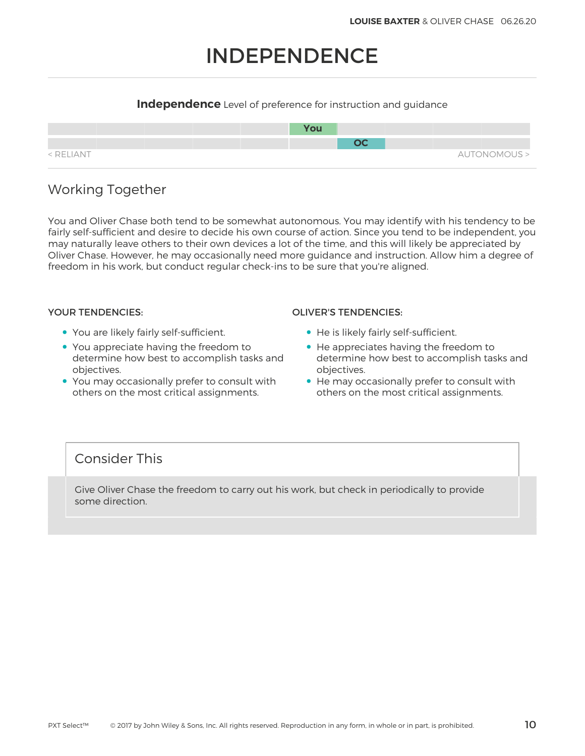# INDEPENDENCE

## **Independence** Level of preference for instruction and guidance



# Working Together

You and Oliver Chase both tend to be somewhat autonomous. You may identify with his tendency to be fairly self-sufficient and desire to decide his own course of action. Since you tend to be independent, you may naturally leave others to their own devices a lot of the time, and this will likely be appreciated by Oliver Chase. However, he may occasionally need more guidance and instruction. Allow him a degree of freedom in his work, but conduct regular check-ins to be sure that you're aligned.

- You are likely fairly self-sufficient.
- You appreciate having the freedom to determine how best to accomplish tasks and objectives.
- You may occasionally prefer to consult with others on the most critical assignments.

### YOUR TENDENCIES: OLIVER'S TENDENCIES:

- He is likely fairly self-sufficient.
- He appreciates having the freedom to determine how best to accomplish tasks and objectives.
- He may occasionally prefer to consult with others on the most critical assignments.

# Consider This

Give Oliver Chase the freedom to carry out his work, but check in periodically to provide some direction.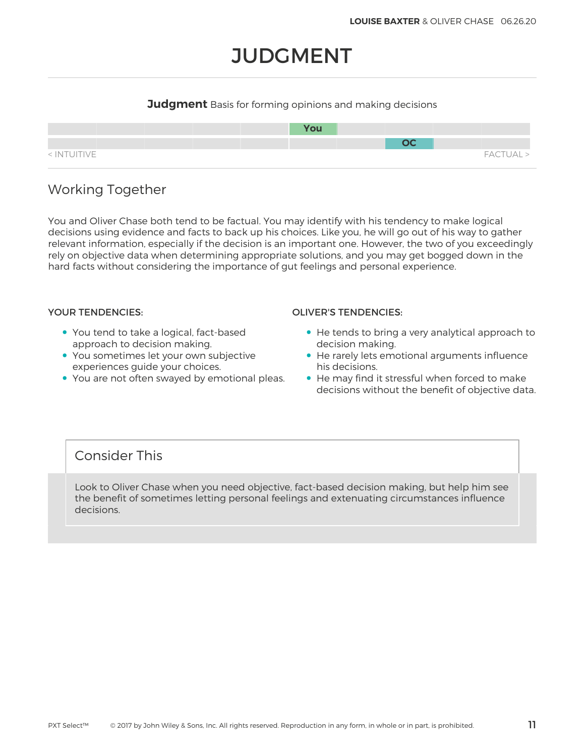# **JUDGMENT**

## **Judgment** Basis for forming opinions and making decisions



# Working Together

You and Oliver Chase both tend to be factual. You may identify with his tendency to make logical decisions using evidence and facts to back up his choices. Like you, he will go out of his way to gather relevant information, especially if the decision is an important one. However, the two of you exceedingly rely on objective data when determining appropriate solutions, and you may get bogged down in the hard facts without considering the importance of gut feelings and personal experience.

- You tend to take a logical, fact-based approach to decision making.
- You sometimes let your own subjective experiences guide your choices.
- You are not often swayed by emotional pleas.

### YOUR TENDENCIES: OLIVER'S TENDENCIES:

- He tends to bring a very analytical approach to decision making.
- He rarely lets emotional arguments influence his decisions.
- He may find it stressful when forced to make decisions without the benefit of objective data.

# Consider This

Look to Oliver Chase when you need objective, fact-based decision making, but help him see the benefit of sometimes letting personal feelings and extenuating circumstances influence decisions.